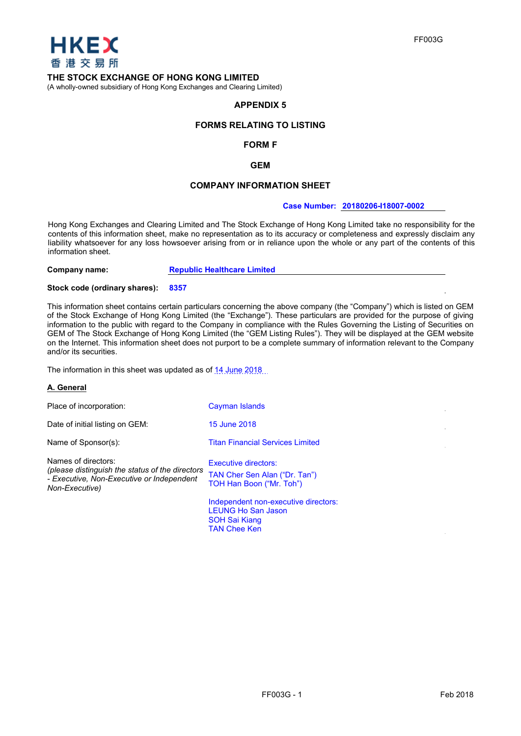

(A wholly-owned subsidiary of Hong Kong Exchanges and Clearing Limited)

# **APPENDIX 5**

### **FORMS RELATING TO LISTING**

### **FORM F**

#### **GEM**

# **COMPANY INFORMATION SHEET**

### **Case Number: 20180206-I18007-0002**

Hong Kong Exchanges and Clearing Limited and The Stock Exchange of Hong Kong Limited take no responsibility for the contents of this information sheet, make no representation as to its accuracy or completeness and expressly disclaim any liability whatsoever for any loss howsoever arising from or in reliance upon the whole or any part of the contents of this information sheet.

**Company name: Republic Healthcare Limited**

#### **Stock code (ordinary shares): 8357**

This information sheet contains certain particulars concerning the above company (the "Company") which is listed on GEM of the Stock Exchange of Hong Kong Limited (the "Exchange"). These particulars are provided for the purpose of giving information to the public with regard to the Company in compliance with the Rules Governing the Listing of Securities on GEM of The Stock Exchange of Hong Kong Limited (the "GEM Listing Rules"). They will be displayed at the GEM website on the Internet. This information sheet does not purport to be a complete summary of information relevant to the Company and/or its securities.

The information in this sheet was updated as of 14 June 2018

## **A. General**

| Place of incorporation:                                                                                                               | <b>Cayman Islands</b>                                                                                            |
|---------------------------------------------------------------------------------------------------------------------------------------|------------------------------------------------------------------------------------------------------------------|
| Date of initial listing on GEM:                                                                                                       | 15 June 2018                                                                                                     |
| Name of Sponsor(s):                                                                                                                   | <b>Titan Financial Services Limited</b>                                                                          |
| Names of directors:<br>(please distinguish the status of the directors<br>- Executive, Non-Executive or Independent<br>Non-Executive) | Executive directors:<br>TAN Cher Sen Alan ("Dr. Tan")<br>TOH Han Boon ("Mr. Toh")                                |
|                                                                                                                                       | Independent non-executive directors:<br><b>LEUNG Ho San Jason</b><br><b>SOH Sai Kiang</b><br><b>TAN Chee Ken</b> |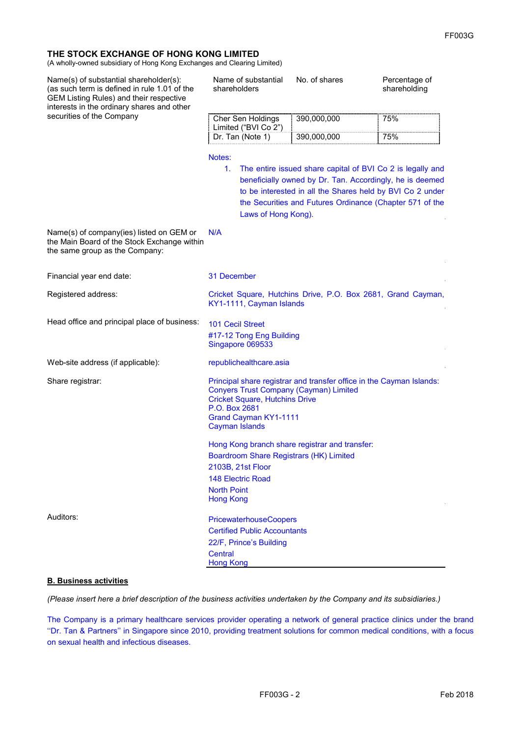(A wholly-owned subsidiary of Hong Kong Exchanges and Clearing Limited)

| Name(s) of substantial shareholder(s):<br>(as such term is defined in rule 1.01 of the<br>GEM Listing Rules) and their respective<br>interests in the ordinary shares and other | Name of substantial<br>shareholders                                                                                                                                                                                                      | No. of shares | Percentage of<br>shareholding                                                                                                                                                                                                                   |  |
|---------------------------------------------------------------------------------------------------------------------------------------------------------------------------------|------------------------------------------------------------------------------------------------------------------------------------------------------------------------------------------------------------------------------------------|---------------|-------------------------------------------------------------------------------------------------------------------------------------------------------------------------------------------------------------------------------------------------|--|
| securities of the Company                                                                                                                                                       | Cher Sen Holdings<br>Limited ("BVI Co 2")                                                                                                                                                                                                | 390,000,000   | 75%                                                                                                                                                                                                                                             |  |
|                                                                                                                                                                                 | Dr. Tan (Note 1)                                                                                                                                                                                                                         | 390,000,000   | 75%                                                                                                                                                                                                                                             |  |
|                                                                                                                                                                                 | Notes:<br>1.<br>Laws of Hong Kong).                                                                                                                                                                                                      |               | The entire issued share capital of BVI Co 2 is legally and<br>beneficially owned by Dr. Tan. Accordingly, he is deemed<br>to be interested in all the Shares held by BVI Co 2 under<br>the Securities and Futures Ordinance (Chapter 571 of the |  |
| Name(s) of company(ies) listed on GEM or<br>the Main Board of the Stock Exchange within<br>the same group as the Company:                                                       | N/A                                                                                                                                                                                                                                      |               |                                                                                                                                                                                                                                                 |  |
| Financial year end date:                                                                                                                                                        | 31 December                                                                                                                                                                                                                              |               |                                                                                                                                                                                                                                                 |  |
| Registered address:                                                                                                                                                             | Cricket Square, Hutchins Drive, P.O. Box 2681, Grand Cayman,<br>KY1-1111, Cayman Islands                                                                                                                                                 |               |                                                                                                                                                                                                                                                 |  |
| Head office and principal place of business:                                                                                                                                    | <b>101 Cecil Street</b><br>#17-12 Tong Eng Building<br>Singapore 069533                                                                                                                                                                  |               |                                                                                                                                                                                                                                                 |  |
| Web-site address (if applicable):                                                                                                                                               | republichealthcare.asia                                                                                                                                                                                                                  |               |                                                                                                                                                                                                                                                 |  |
| Share registrar:                                                                                                                                                                | Principal share registrar and transfer office in the Cayman Islands:<br><b>Conyers Trust Company (Cayman) Limited</b><br><b>Cricket Square, Hutchins Drive</b><br>P.O. Box 2681<br><b>Grand Cayman KY1-1111</b><br><b>Cayman Islands</b> |               |                                                                                                                                                                                                                                                 |  |
|                                                                                                                                                                                 | Hong Kong branch share registrar and transfer:<br><b>Boardroom Share Registrars (HK) Limited</b><br>2103B, 21st Floor<br><b>148 Electric Road</b>                                                                                        |               |                                                                                                                                                                                                                                                 |  |
|                                                                                                                                                                                 | <b>North Point</b><br><b>Hong Kong</b>                                                                                                                                                                                                   |               |                                                                                                                                                                                                                                                 |  |
| Auditors:                                                                                                                                                                       | <b>PricewaterhouseCoopers</b><br><b>Certified Public Accountants</b><br>22/F, Prince's Building<br><b>Central</b><br><b>Hong Kong</b>                                                                                                    |               |                                                                                                                                                                                                                                                 |  |

## **B. Business activities**

*(Please insert here a brief description of the business activities undertaken by the Company and its subsidiaries.)* 

The Company is a primary healthcare services provider operating a network of general practice clinics under the brand ''Dr. Tan & Partners'' in Singapore since 2010, providing treatment solutions for common medical conditions, with a focus on sexual health and infectious diseases.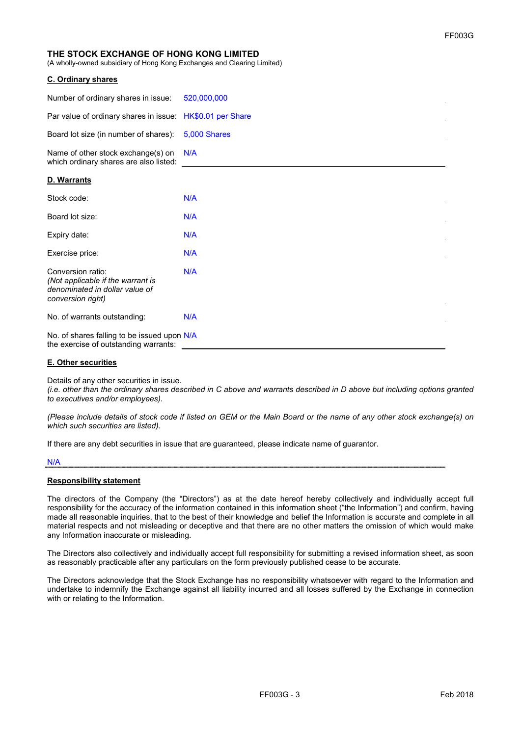(A wholly-owned subsidiary of Hong Kong Exchanges and Clearing Limited)

#### **C. Ordinary shares**

| Number of ordinary shares in issue:                                          | 520,000,000         |
|------------------------------------------------------------------------------|---------------------|
| Par value of ordinary shares in issue: HK\$0.01 per Share                    |                     |
| Board lot size (in number of shares):                                        | <b>5,000 Shares</b> |
| Name of other stock exchange(s) on<br>which ordinary shares are also listed: | N/A                 |
| D. Warrants                                                                  |                     |
| Stock code:                                                                  | N/A                 |
| Board lot size:                                                              | N/A                 |
| Expiry date:                                                                 | N/A                 |
| Exercise price:                                                              | N/A                 |
|                                                                              |                     |

Conversion ratio: *(Not applicable if the warrant is denominated in dollar value of conversion right)* N/A No. of warrants outstanding: N/A No. of shares falling to be issued upon N/A the exercise of outstanding warrants:

#### **E. Other securities**

Details of any other securities in issue.

*(i.e. other than the ordinary shares described in C above and warrants described in D above but including options granted to executives and/or employees).* 

*(Please include details of stock code if listed on GEM or the Main Board or the name of any other stock exchange(s) on which such securities are listed).* 

If there are any debt securities in issue that are guaranteed, please indicate name of guarantor.

#### N/A

#### **Responsibility statement**

The directors of the Company (the "Directors") as at the date hereof hereby collectively and individually accept full responsibility for the accuracy of the information contained in this information sheet ("the Information") and confirm, having made all reasonable inquiries, that to the best of their knowledge and belief the Information is accurate and complete in all material respects and not misleading or deceptive and that there are no other matters the omission of which would make any Information inaccurate or misleading.

The Directors also collectively and individually accept full responsibility for submitting a revised information sheet, as soon as reasonably practicable after any particulars on the form previously published cease to be accurate.

The Directors acknowledge that the Stock Exchange has no responsibility whatsoever with regard to the Information and undertake to indemnify the Exchange against all liability incurred and all losses suffered by the Exchange in connection with or relating to the Information.